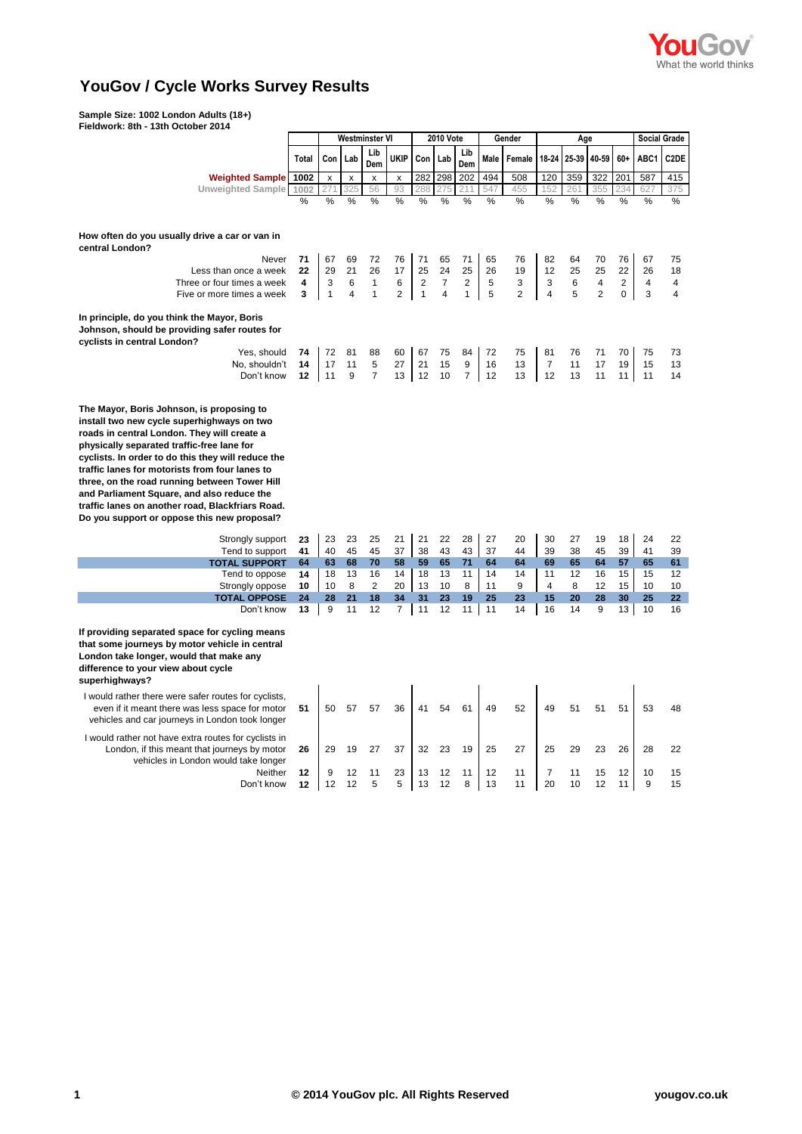

## **YouGov / Cycle Works Survey Results**

**Sample Size: 1002 London Adults (18+)**

| Fieldwork: 8th - 13th October 2014                                                                                                                                                                                                                                                                                                                                                                                                                                                                                 |              |                |                |                |                |                  |                         |                         |        |                |                |             |                |                         |                     |                         |
|--------------------------------------------------------------------------------------------------------------------------------------------------------------------------------------------------------------------------------------------------------------------------------------------------------------------------------------------------------------------------------------------------------------------------------------------------------------------------------------------------------------------|--------------|----------------|----------------|----------------|----------------|------------------|-------------------------|-------------------------|--------|----------------|----------------|-------------|----------------|-------------------------|---------------------|-------------------------|
|                                                                                                                                                                                                                                                                                                                                                                                                                                                                                                                    |              | Westminster VI |                |                |                | <b>2010 Vote</b> |                         |                         | Gender |                | Age            |             |                |                         | <b>Social Grade</b> |                         |
|                                                                                                                                                                                                                                                                                                                                                                                                                                                                                                                    | <b>Total</b> | Con            | Lab            | Lib<br>Dem     | UKIP           | Con              | Lab                     | Lib<br>Dem              | Male   | <b>Female</b>  |                | 18-24 25-39 | 40-59          | $60+$                   | ABC1                | C <sub>2</sub> DE       |
| <b>Weighted Sample 1002</b>                                                                                                                                                                                                                                                                                                                                                                                                                                                                                        |              | x              | x              | x              | x              | 282              | 298                     | 202                     | 494    | 508            | 120            | 359         | 322            | 201                     | 587                 | 415                     |
| <b>Unweighted Sample</b>                                                                                                                                                                                                                                                                                                                                                                                                                                                                                           | 1002         |                | 325            | 56             | 93             | 288              |                         |                         | 547    | 455            | 152            | 26          | 355            | 234                     | 627                 | 375                     |
|                                                                                                                                                                                                                                                                                                                                                                                                                                                                                                                    | %            | %              | %              | %              | %              | %                | $\frac{0}{2}$           | %                       | %      | %              | %              | %           | %              | %                       | %                   | %                       |
| How often do you usually drive a car or van in<br>central London?                                                                                                                                                                                                                                                                                                                                                                                                                                                  |              |                |                |                |                |                  |                         |                         |        |                |                |             |                |                         |                     |                         |
| Never                                                                                                                                                                                                                                                                                                                                                                                                                                                                                                              | 71           | 67             | 69             | 72             | 76             | 71               | 65                      | 71                      | 65     | 76             | 82             | 64          | 70             | 76                      | 67                  | 75                      |
| Less than once a week                                                                                                                                                                                                                                                                                                                                                                                                                                                                                              | 22           | 29             | 21             | 26             | 17             | 25               | 24                      | 25                      | 26     | 19             | 12             | 25          | 25             | 22                      | 26                  | 18                      |
| Three or four times a week                                                                                                                                                                                                                                                                                                                                                                                                                                                                                         | 4            | 3              | 6              | $\mathbf{1}$   | 6              | $\sqrt{2}$       | $\overline{7}$          | $\overline{\mathbf{c}}$ | 5      | 3              | 3              | 6           | 4              | $\overline{\mathbf{c}}$ | 4                   | 4                       |
| Five or more times a week                                                                                                                                                                                                                                                                                                                                                                                                                                                                                          | 3            | $\mathbf{1}$   | $\overline{4}$ | $\mathbf{1}$   | $\overline{2}$ | $\overline{1}$   | $\overline{\mathbf{4}}$ | $\mathbf{1}$            | 5      | $\overline{2}$ | $\overline{4}$ | 5           | $\overline{2}$ | $\pmb{0}$               | 3                   | $\overline{\mathbf{4}}$ |
| In principle, do you think the Mayor, Boris<br>Johnson, should be providing safer routes for<br>cyclists in central London?                                                                                                                                                                                                                                                                                                                                                                                        |              |                |                |                |                |                  |                         |                         |        |                |                |             |                |                         |                     |                         |
| Yes, should                                                                                                                                                                                                                                                                                                                                                                                                                                                                                                        | 74           | 72             | 81             | 88             | 60             | 67               | 75                      | 84                      | 72     | 75             | 81             | 76          | 71             | 70                      | 75                  | 73                      |
| No, shouldn't                                                                                                                                                                                                                                                                                                                                                                                                                                                                                                      | 14           | 17             | 11             | 5              | 27             | 21               | 15                      | 9                       | 16     | 13             | $\overline{7}$ | 11          | 17             | 19                      | 15                  | 13                      |
| Don't know                                                                                                                                                                                                                                                                                                                                                                                                                                                                                                         | 12           | 11             | 9              | $\overline{7}$ | 13             | 12               | 10                      | $\overline{7}$          | 12     | 13             | 12             | 13          | 11             | 11                      | 11                  | 14                      |
| The Mayor, Boris Johnson, is proposing to<br>install two new cycle superhighways on two<br>roads in central London. They will create a<br>physically separated traffic-free lane for<br>cyclists. In order to do this they will reduce the<br>traffic lanes for motorists from four lanes to<br>three, on the road running between Tower Hill<br>and Parliament Square, and also reduce the<br>traffic lanes on another road, Blackfriars Road.<br>Do you support or oppose this new proposal?<br>Strongly support | 23           | 23             | 23             | 25             | 21             | 21               | 22                      | 28                      | 27     | 20             | 30             | 27          | 19             | 18                      | 24                  | 22                      |
| Tend to support                                                                                                                                                                                                                                                                                                                                                                                                                                                                                                    | 41           | 40             | 45             | 45             | 37             | 38               | 43                      | 43                      | 37     | 44             | 39             | 38          | 45             | 39                      | 41                  | 39                      |
| <b>TOTAL SUPPORT</b>                                                                                                                                                                                                                                                                                                                                                                                                                                                                                               | 64           | 63             | 68             | 70             | 58             | 59               | 65                      | 71                      | 64     | 64             | 69             | 65          | 64             | 57                      | 65                  | 61                      |
| Tend to oppose                                                                                                                                                                                                                                                                                                                                                                                                                                                                                                     | 14           | 18             | 13             | 16             | 14             | 18               | 13                      | 11                      | 14     | 14             | 11             | 12          | 16             | 15                      | 15                  | 12                      |
| Strongly oppose                                                                                                                                                                                                                                                                                                                                                                                                                                                                                                    | 10           | 10             | 8              | $\overline{2}$ | 20             | 13               | 10                      | 8                       | 11     | 9              | $\overline{4}$ | 8           | 12             | 15                      | 10                  | 10                      |
| <b>TOTAL OPPOSE</b>                                                                                                                                                                                                                                                                                                                                                                                                                                                                                                | 24           | 28             | 21             | 18             | 34             | 31               | 23                      | 19                      | 25     | 23             | 15             | 20          | 28             | 30                      | 25                  | 22                      |
| Don't know<br>If providing separated space for cycling means<br>that some journeys by motor vehicle in central<br>London take longer, would that make any<br>difference to your view about cycle<br>superhighways?                                                                                                                                                                                                                                                                                                 | 13           | 9              | 11             | 12             | $\overline{7}$ | 11               | 12                      | 11                      | 11     | 14             | 16             | 14          | 9              | 13                      | 10                  | 16                      |
| I would rather there were safer routes for cyclists,<br>even if it meant there was less space for motor<br>vehicles and car journeys in London took longer                                                                                                                                                                                                                                                                                                                                                         | 51           | 50             | 57             | 57             | 36             | 41               | 54                      | 61                      | 49     | 52             | 49             | 51          | 51             | 51                      | 53                  | 48                      |
| I would rather not have extra routes for cyclists in<br>London, if this meant that journeys by motor                                                                                                                                                                                                                                                                                                                                                                                                               | 26           | 29             | 19             | 27             | 37             | 32               | 23                      | 19                      | 25     | 27             | 25             | 29          | 23             | 26                      | 28                  | 22                      |
| vehicles in London would take longer<br>Neither                                                                                                                                                                                                                                                                                                                                                                                                                                                                    |              | 9              | 12             | 11             | 23             | 13               | 12                      | 11                      | 12     | 11             | $\overline{7}$ | 11          | 15             | 12                      | 10                  | 15                      |
| Don't know                                                                                                                                                                                                                                                                                                                                                                                                                                                                                                         | 12<br>12     | 12             | 12             | 5              | 5              | 13               | 12                      | 8                       | 13     | 11             | 20             | 10          | 12             | 11                      | 9                   | 15                      |